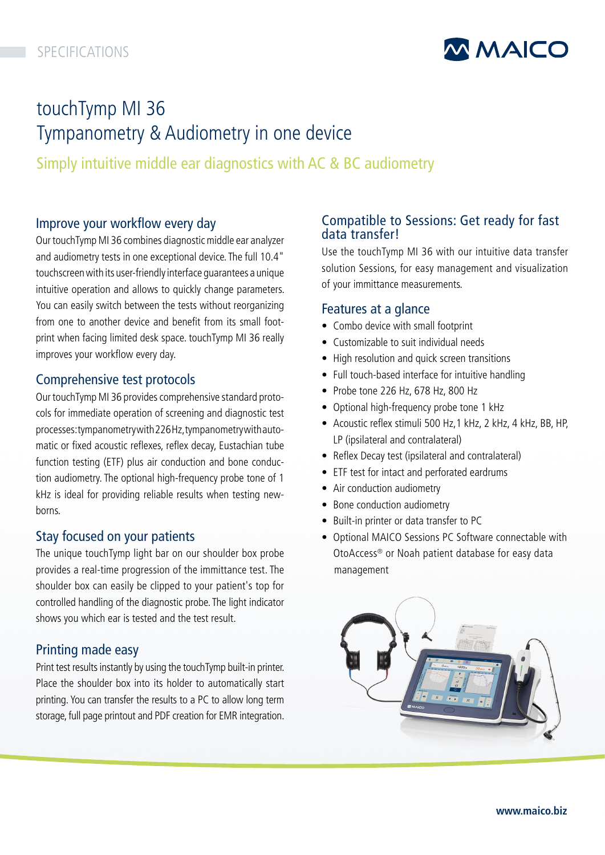

# touchTymp MI 36 Tympanometry & Audiometry in one device

Simply intuitive middle ear diagnostics with AC & BC audiometry

# Improve your workflow every day

Our touchTymp MI 36 combines diagnostic middle ear analyzer and audiometry tests in one exceptional device. The full 10.4" touchscreen with its user-friendly interface guarantees a unique intuitive operation and allows to quickly change parameters. You can easily switch between the tests without reorganizing from one to another device and benefit from its small footprint when facing limited desk space. touchTymp MI 36 really improves your workflow every day.

## Comprehensive test protocols

Our touchTymp MI 36 provides comprehensive standard protocols for immediate operation of screening and diagnostic test processes: tympanometry with 226 Hz, tympanometry with automatic or fixed acoustic reflexes, reflex decay, Eustachian tube function testing (ETF) plus air conduction and bone conduction audiometry. The optional high-frequency probe tone of 1 kHz is ideal for providing reliable results when testing newborns.

## Stay focused on your patients

The unique touchTymp light bar on our shoulder box probe provides a real-time progression of the immittance test. The shoulder box can easily be clipped to your patient's top for controlled handling of the diagnostic probe. The light indicator shows you which ear is tested and the test result.

# Printing made easy

Print test results instantly by using the touchTymp built-in printer. Place the shoulder box into its holder to automatically start printing. You can transfer the results to a PC to allow long term storage, full page printout and PDF creation for EMR integration.

# Compatible to Sessions: Get ready for fast data transfer!

Use the touchTymp MI 36 with our intuitive data transfer solution Sessions, for easy management and visualization of your immittance measurements.

## Features at a glance

- Combo device with small footprint
- Customizable to suit individual needs
- High resolution and quick screen transitions
- Full touch-based interface for intuitive handling
- Probe tone 226 Hz, 678 Hz, 800 Hz
- Optional high-frequency probe tone 1 kHz
- Acoustic reflex stimuli 500 Hz,1 kHz, 2 kHz, 4 kHz, BB, HP, LP (ipsilateral and contralateral)
- Reflex Decay test (ipsilateral and contralateral)
- ETF test for intact and perforated eardrums
- Air conduction audiometry
- Bone conduction audiometry
- Built-in printer or data transfer to PC
- Optional MAICO Sessions PC Software connectable with OtoAccess® or Noah patient database for easy data management